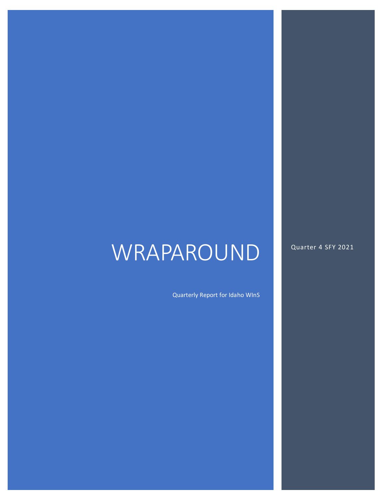# WRAPAROUND

Quarter 4 SFY 2021

Quarterly Report for Idaho WInS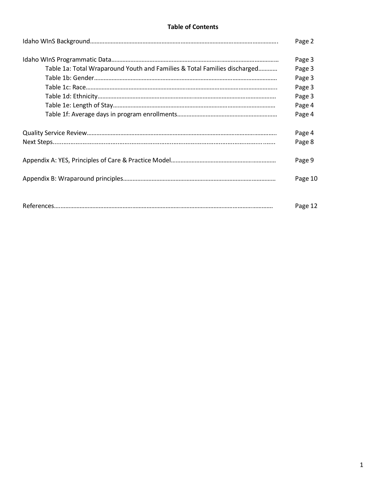#### **Table of Contents**

|                                                                           | Page 2  |
|---------------------------------------------------------------------------|---------|
|                                                                           | Page 3  |
| Table 1a: Total Wraparound Youth and Families & Total Families discharged | Page 3  |
|                                                                           | Page 3  |
|                                                                           | Page 3  |
|                                                                           | Page 3  |
|                                                                           | Page 4  |
|                                                                           | Page 4  |
|                                                                           | Page 4  |
|                                                                           | Page 8  |
|                                                                           | Page 9  |
|                                                                           | Page 10 |
|                                                                           |         |
|                                                                           | Page 12 |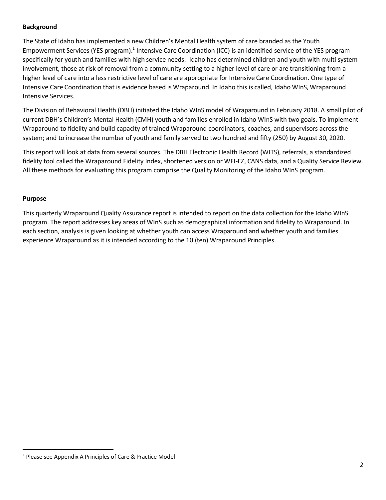## **Background**

The State of Idaho has implemented a new Children's Mental Health system of care branded as the Youth Empowerment Services (YES program).<sup>1</sup> Intensive Care Coordination (ICC) is an identified service of the YES program specifically for youth and families with high service needs. Idaho has determined children and youth with multi system involvement, those at risk of removal from a community setting to a higher level of care or are transitioning from a higher level of care into a less restrictive level of care are appropriate for Intensive Care Coordination. One type of Intensive Care Coordination that is evidence based is Wraparound. In Idaho this is called, Idaho WInS, Wraparound Intensive Services.

The Division of Behavioral Health (DBH) initiated the Idaho WInS model of Wraparound in February 2018. A small pilot of current DBH's Children's Mental Health (CMH) youth and families enrolled in Idaho WInS with two goals. To implement Wraparound to fidelity and build capacity of trained Wraparound coordinators, coaches, and supervisors across the system; and to increase the number of youth and family served to two hundred and fifty (250) by August 30, 2020.

This report will look at data from several sources. The DBH Electronic Health Record (WITS), referrals, a standardized fidelity tool called the Wraparound Fidelity Index, shortened version or WFI-EZ, CANS data, and a Quality Service Review. All these methods for evaluating this program comprise the Quality Monitoring of the Idaho WInS program.

#### **Purpose**

 $\overline{a}$ 

This quarterly Wraparound Quality Assurance report is intended to report on the data collection for the Idaho WInS program. The report addresses key areas of WInS such as demographical information and fidelity to Wraparound. In each section, analysis is given looking at whether youth can access Wraparound and whether youth and families experience Wraparound as it is intended according to the 10 (ten) Wraparound Principles.

<sup>1</sup> Please see Appendix A Principles of Care & Practice Model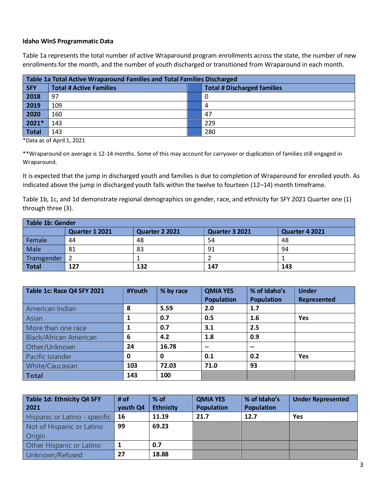## **Idaho WInS Programmatic Data**

Table 1a represents the total number of active Wraparound program enrollments across the state, the number of new enrollments for the month, and the number of youth discharged or transitioned from Wraparound in each month.

| Table 1a Total Active Wraparound Families and Total Families Discharged |                                |  |                                    |  |  |
|-------------------------------------------------------------------------|--------------------------------|--|------------------------------------|--|--|
| <b>SFY</b>                                                              | <b>Total # Active Families</b> |  | <b>Total # Discharged families</b> |  |  |
| 2018                                                                    | 97                             |  |                                    |  |  |
| 2019                                                                    | 109                            |  | 4                                  |  |  |
| 2020                                                                    | 160                            |  | 47                                 |  |  |
| 2021*                                                                   | 143                            |  | 229                                |  |  |
| Total                                                                   | 143                            |  | 280                                |  |  |

\*Data as of April 1, 2021

\*\*Wraparound on average is 12-14 months. Some of this may account for carryover or duplication of families still engaged in Wraparound. 

It is expected that the jump in discharged youth and families is due to completion of Wraparound for enrolled youth. As indicated above the jump in discharged youth falls within the twelve to fourteen (12–14) month timeframe.

Table 1b, 1c, and 1d demonstrate regional demographics on gender, race, and ethnicity for SFY 2021 Quarter one (1) through three (3).

| <b>Table 1b: Gender</b>          |     |     |                                  |     |  |  |
|----------------------------------|-----|-----|----------------------------------|-----|--|--|
| Quarter 1 2021<br>Quarter 2 2021 |     |     | Quarter 3 2021<br>Quarter 4 2021 |     |  |  |
| Female                           | 44  | 48  | 54                               | 48  |  |  |
| Male<br>83<br>81                 |     |     | 94<br>91                         |     |  |  |
| Transgender                      |     |     |                                  |     |  |  |
| <b>Total</b>                     | 127 | 132 | 147                              | 143 |  |  |

| Table 1c: Race Q4 SFY 2021    | #Youth | % by race | <b>QMIA YES</b><br><b>Population</b> | % of Idaho's<br><b>Population</b> | <b>Under</b><br>Represented |
|-------------------------------|--------|-----------|--------------------------------------|-----------------------------------|-----------------------------|
| American Indian               | 8      | 5.59      | 2.0                                  | 1.7                               |                             |
| Asian                         |        | 0.7       | 0.5                                  | 1.6                               | <b>Yes</b>                  |
| More than one race            |        | 0.7       | 3.1                                  | 2.5                               |                             |
| <b>Black/African American</b> | 6      | 4.2       | 1.8                                  | 0.9                               |                             |
| Other/Unknown                 | 24     | 16.78     | $\overline{\phantom{a}}$             | $- -$                             |                             |
| Pacific Islander              | 0      | 0         | 0.1                                  | 0.2                               | <b>Yes</b>                  |
| White/Caucasian               | 103    | 72.03     | 71.0                                 | 93                                |                             |
| <b>Total</b>                  | 143    | 100       |                                      |                                   |                             |

| Table 1d: Ethnicity Q4 SFY      | # of     | $%$ of           | <b>QMIA YES</b>   | % of Idaho's      | <b>Under Represented</b> |
|---------------------------------|----------|------------------|-------------------|-------------------|--------------------------|
| 2021                            | youth Q4 | <b>Ethnicity</b> | <b>Population</b> | <b>Population</b> |                          |
| Hispanic or Latino - specific   | -16      | 11.19            | 21.7              | 12.7              | <b>Yes</b>               |
| Not of Hispanic or Latino       | 99       | 69.23            |                   |                   |                          |
| <b>Origin</b>                   |          |                  |                   |                   |                          |
| <b>Other Hispanic or Latino</b> |          | 0.7              |                   |                   |                          |
| Unknown/Refused                 | 27       | 18.88            |                   |                   |                          |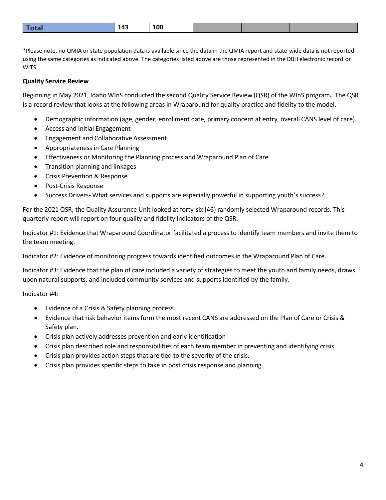|  |  | $\bullet$<br>__ |  |  |  |
|--|--|-----------------|--|--|--|
|--|--|-----------------|--|--|--|

\*Please note, no QMIA or state population data is available since the data in the QMIA report and state-wide data is not reported using the same categories as indicated above. The categories listed above are those represented in the DBH electronic record or WITS.

## **Quality Service Review**

Beginning in May 2021, Idaho WInS conducted the second Quality Service Review (QSR) of the WInS program**.** The QSR is a record review that looks at the following areas in Wraparound for quality practice and fidelity to the model.

- Demographic information (age, gender, enrollment date, primary concern at entry, overall CANS level of care).
- Access and Initial Engagement
- Engagement and Collaborative Assessment
- Appropriateness in Care Planning
- Effectiveness or Monitoring the Planning process and Wraparound Plan of Care
- Transition planning and linkages
- Crisis Prevention & Response
- Post-Crisis Response
- Success Drivers- What services and supports are especially powerful in supporting youth's success?

For the 2021 QSR, the Quality Assurance Unit looked at forty-six (46) randomly selected Wraparound records. This quarterly report will report on four quality and fidelity indicators of the QSR.

Indicator #1: Evidence that Wraparound Coordinator facilitated a process to identify team members and invite them to the team meeting.

Indicator #2: Evidence of monitoring progress towards identified outcomes in the Wraparound Plan of Care.

Indicator #3: Evidence that the plan of care included a variety of strategies to meet the youth and family needs, draws upon natural supports, and included community services and supports identified by the family.

Indicator #4:

- Evidence of a Crisis & Safety planning process.
- Evidence that risk behavior items form the most recent CANS are addressed on the Plan of Care or Crisis & Safety plan.
- Crisis plan actively addresses prevention and early identification
- Crisis plan described role and responsibilities of each team member in preventing and identifying crisis.
- Crisis plan provides action steps that are tied to the severity of the crisis.
- Crisis plan provides specific steps to take in post crisis response and planning.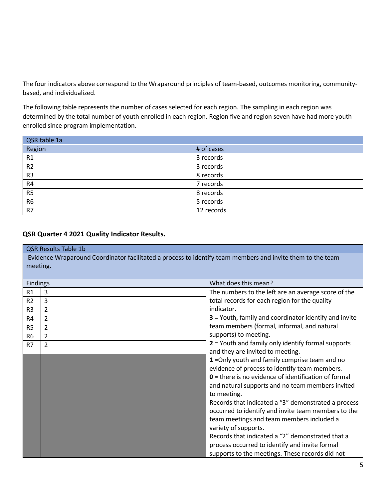The four indicators above correspond to the Wraparound principles of team-based, outcomes monitoring, communitybased, and individualized.

The following table represents the number of cases selected for each region. The sampling in each region was determined by the total number of youth enrolled in each region. Region five and region seven have had more youth enrolled since program implementation.

| QSR table 1a   |            |
|----------------|------------|
| Region         | # of cases |
| R1             | 3 records  |
| R <sub>2</sub> | 3 records  |
| R <sub>3</sub> | 8 records  |
| R4             | 7 records  |
| R <sub>5</sub> | 8 records  |
| R <sub>6</sub> | 5 records  |
| R7             | 12 records |

# **QSR Quarter 4 2021 Quality Indicator Results.**

|                | <b>QSR Results Table 1b</b>                                                                                            |                                                             |  |  |  |
|----------------|------------------------------------------------------------------------------------------------------------------------|-------------------------------------------------------------|--|--|--|
|                | Evidence Wraparound Coordinator facilitated a process to identify team members and invite them to the team<br>meeting. |                                                             |  |  |  |
|                |                                                                                                                        |                                                             |  |  |  |
| Findings       |                                                                                                                        | What does this mean?                                        |  |  |  |
| R1             | 3                                                                                                                      | The numbers to the left are an average score of the         |  |  |  |
| R <sub>2</sub> | 3                                                                                                                      | total records for each region for the quality               |  |  |  |
| R <sub>3</sub> | $\overline{2}$                                                                                                         | indicator.                                                  |  |  |  |
| R4             | $\overline{2}$                                                                                                         | 3 = Youth, family and coordinator identify and invite       |  |  |  |
| R <sub>5</sub> | 2                                                                                                                      | team members (formal, informal, and natural                 |  |  |  |
| R <sub>6</sub> | $\overline{2}$                                                                                                         | supports) to meeting.                                       |  |  |  |
| R7             | $\overline{2}$                                                                                                         | 2 = Youth and family only identify formal supports          |  |  |  |
|                |                                                                                                                        | and they are invited to meeting.                            |  |  |  |
|                |                                                                                                                        | 1 = Only youth and family comprise team and no              |  |  |  |
|                |                                                                                                                        | evidence of process to identify team members.               |  |  |  |
|                |                                                                                                                        | $\theta$ = there is no evidence of identification of formal |  |  |  |
|                |                                                                                                                        | and natural supports and no team members invited            |  |  |  |
|                |                                                                                                                        | to meeting.                                                 |  |  |  |
|                |                                                                                                                        | Records that indicated a "3" demonstrated a process         |  |  |  |
|                |                                                                                                                        | occurred to identify and invite team members to the         |  |  |  |
|                |                                                                                                                        | team meetings and team members included a                   |  |  |  |
|                |                                                                                                                        | variety of supports.                                        |  |  |  |
|                |                                                                                                                        | Records that indicated a "2" demonstrated that a            |  |  |  |
|                |                                                                                                                        | process occurred to identify and invite formal              |  |  |  |
|                |                                                                                                                        | supports to the meetings. These records did not             |  |  |  |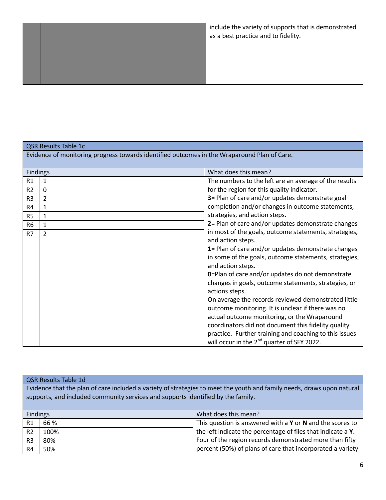# QSR Results Table 1c

Evidence of monitoring progress towards identified outcomes in the Wraparound Plan of Care.

| <b>Findings</b> |   | What does this mean?                                     |
|-----------------|---|----------------------------------------------------------|
| R <sub>1</sub>  | 1 | The numbers to the left are an average of the results    |
| R <sub>2</sub>  | 0 | for the region for this quality indicator.               |
| R <sub>3</sub>  | 2 | 3= Plan of care and/or updates demonstrate goal          |
| R4              | 1 | completion and/or changes in outcome statements,         |
| R <sub>5</sub>  |   | strategies, and action steps.                            |
| R <sub>6</sub>  | 1 | 2= Plan of care and/or updates demonstrate changes       |
| R7              | 2 | in most of the goals, outcome statements, strategies,    |
|                 |   | and action steps.                                        |
|                 |   | 1= Plan of care and/or updates demonstrate changes       |
|                 |   | in some of the goals, outcome statements, strategies,    |
|                 |   | and action steps.                                        |
|                 |   | <b>0</b> =Plan of care and/or updates do not demonstrate |
|                 |   | changes in goals, outcome statements, strategies, or     |
|                 |   | actions steps.                                           |
|                 |   | On average the records reviewed demonstrated little      |
|                 |   | outcome monitoring. It is unclear if there was no        |
|                 |   | actual outcome monitoring, or the Wraparound             |
|                 |   | coordinators did not document this fidelity quality      |
|                 |   | practice. Further training and coaching to this issues   |
|                 |   | will occur in the 2 <sup>nd</sup> quarter of SFY 2022.   |

|                                                                                                                        | <b>QSR Results Table 1d</b> |                                                               |  |  |  |  |  |
|------------------------------------------------------------------------------------------------------------------------|-----------------------------|---------------------------------------------------------------|--|--|--|--|--|
| Evidence that the plan of care included a variety of strategies to meet the youth and family needs, draws upon natural |                             |                                                               |  |  |  |  |  |
| supports, and included community services and supports identified by the family.                                       |                             |                                                               |  |  |  |  |  |
|                                                                                                                        |                             |                                                               |  |  |  |  |  |
| <b>Findings</b>                                                                                                        |                             | What does this mean?                                          |  |  |  |  |  |
| R1                                                                                                                     | 66 %                        | This question is answered with a $Y$ or $N$ and the scores to |  |  |  |  |  |
| R <sub>2</sub>                                                                                                         | 100%                        | the left indicate the percentage of files that indicate a Y.  |  |  |  |  |  |
| R <sub>3</sub>                                                                                                         | 80%                         | Four of the region records demonstrated more than fifty       |  |  |  |  |  |
| R4                                                                                                                     | 50%                         | percent (50%) of plans of care that incorporated a variety    |  |  |  |  |  |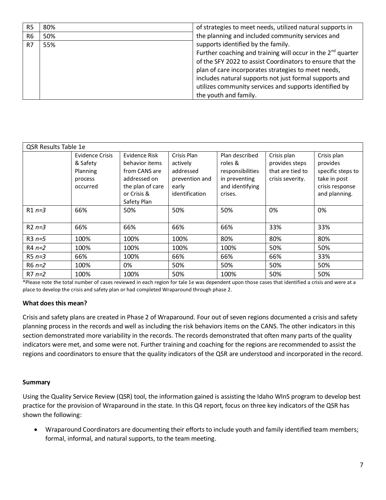| R <sub>5</sub> | 80% | of strategies to meet needs, utilized natural supports in        |
|----------------|-----|------------------------------------------------------------------|
| R <sub>6</sub> | 50% | the planning and included community services and                 |
| R7             | 55% | supports identified by the family.                               |
|                |     | Further coaching and training will occur in the $2^{nd}$ quarter |
|                |     | of the SFY 2022 to assist Coordinators to ensure that the        |
|                |     | plan of care incorporates strategies to meet needs,              |
|                |     | includes natural supports not just formal supports and           |
|                |     | utilizes community services and supports identified by           |
|                |     | the youth and family.                                            |

| QSR Results Table 1e |                                                                       |                                                                                                                    |                                                                                   |                                                                                              |                                                                       |                                                                                                  |  |
|----------------------|-----------------------------------------------------------------------|--------------------------------------------------------------------------------------------------------------------|-----------------------------------------------------------------------------------|----------------------------------------------------------------------------------------------|-----------------------------------------------------------------------|--------------------------------------------------------------------------------------------------|--|
|                      | <b>Evidence Crisis</b><br>& Safety<br>Planning<br>process<br>occurred | Evidence Risk<br>behavior items<br>from CANS are<br>addressed on<br>the plan of care<br>or Crisis &<br>Safety Plan | Crisis Plan<br>actively<br>addressed<br>prevention and<br>early<br>identification | Plan described<br>roles &<br>responsibilities<br>in preventing<br>and identifying<br>crises. | Crisis plan<br>provides steps<br>that are tied to<br>crisis severity. | Crisis plan<br>provides<br>specific steps to<br>take in post<br>crisis response<br>and planning. |  |
| $R1n=3$              | 66%                                                                   | 50%                                                                                                                | 50%                                                                               | 50%                                                                                          | 0%                                                                    | 0%                                                                                               |  |
| $R2n=3$              | 66%                                                                   | 66%                                                                                                                | 66%                                                                               | 66%                                                                                          | 33%                                                                   | 33%                                                                                              |  |
| $R3n=5$              | 100%                                                                  | 100%                                                                                                               | 100%                                                                              | 80%                                                                                          | 80%                                                                   | 80%                                                                                              |  |
| $R4n=2$              | 100%                                                                  | 100%                                                                                                               | 100%                                                                              | 100%                                                                                         | 50%                                                                   | 50%                                                                                              |  |
| $R5 n=3$             | 66%                                                                   | 100%                                                                                                               | 66%                                                                               | 66%                                                                                          | 66%                                                                   | 33%                                                                                              |  |
| $R6 n=2$             | 100%                                                                  | 0%                                                                                                                 | 50%                                                                               | 50%                                                                                          | 50%                                                                   | 50%                                                                                              |  |
| $R7n=2$              | 100%                                                                  | 100%                                                                                                               | 50%                                                                               | 100%                                                                                         | 50%                                                                   | 50%                                                                                              |  |

\*Please note the total number of cases reviewed in each region for tale 1e was dependent upon those cases that identified a crisis and were at a place to develop the crisis and safety plan or had completed Wraparound through phase 2.

#### **What does this mean?**

Crisis and safety plans are created in Phase 2 of Wraparound. Four out of seven regions documented a crisis and safety planning process in the records and well as including the risk behaviors items on the CANS. The other indicators in this section demonstrated more variability in the records. The records demonstrated that often many parts of the quality indicators were met, and some were not. Further training and coaching for the regions are recommended to assist the regions and coordinators to ensure that the quality indicators of the QSR are understood and incorporated in the record.

#### **Summary**

Using the Quality Service Review (QSR) tool, the information gained is assisting the Idaho WInS program to develop best practice for the provision of Wraparound in the state. In this Q4 report, focus on three key indicators of the QSR has shown the following:

• Wraparound Coordinators are documenting their efforts to include youth and family identified team members; formal, informal, and natural supports, to the team meeting.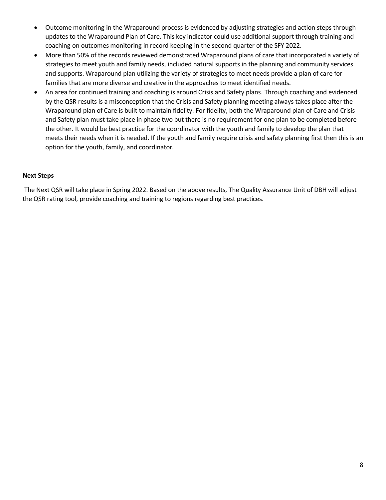- Outcome monitoring in the Wraparound process is evidenced by adjusting strategies and action steps through updates to the Wraparound Plan of Care. This key indicator could use additional support through training and coaching on outcomes monitoring in record keeping in the second quarter of the SFY 2022.
- More than 50% of the records reviewed demonstrated Wraparound plans of care that incorporated a variety of strategies to meet youth and family needs, included natural supports in the planning and community services and supports. Wraparound plan utilizing the variety of strategies to meet needs provide a plan of care for families that are more diverse and creative in the approaches to meet identified needs.
- An area for continued training and coaching is around Crisis and Safety plans. Through coaching and evidenced by the QSR results is a misconception that the Crisis and Safety planning meeting always takes place after the Wraparound plan of Care is built to maintain fidelity. For fidelity, both the Wraparound plan of Care and Crisis and Safety plan must take place in phase two but there is no requirement for one plan to be completed before the other. It would be best practice for the coordinator with the youth and family to develop the plan that meets their needs when it is needed. If the youth and family require crisis and safety planning first then this is an option for the youth, family, and coordinator.

## **Next Steps**

The Next QSR will take place in Spring 2022. Based on the above results, The Quality Assurance Unit of DBH will adjust the QSR rating tool, provide coaching and training to regions regarding best practices.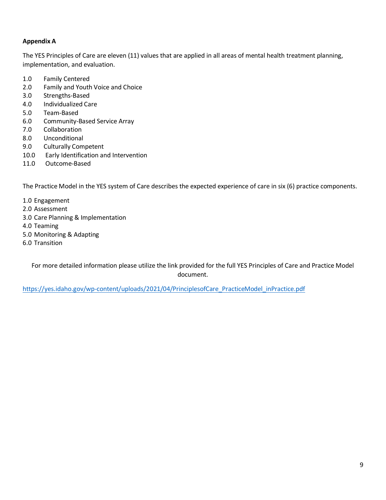# **Appendix A**

The YES Principles of Care are eleven (11) values that are applied in all areas of mental health treatment planning, implementation, and evaluation.

- 1.0 Family Centered
- 2.0 Family and Youth Voice and Choice
- 3.0 Strengths-Based
- 4.0 Individualized Care
- 5.0 Team-Based
- 6.0 Community-Based Service Array
- 7.0 Collaboration
- 8.0 Unconditional
- 9.0 Culturally Competent
- 10.0 Early Identification and Intervention
- 11.0 Outcome-Based

The Practice Model in the YES system of Care describes the expected experience of care in six (6) practice components.

- 1.0 Engagement
- 2.0 Assessment
- 3.0 Care Planning & Implementation
- 4.0 Teaming
- 5.0 Monitoring & Adapting
- 6.0 Transition

For more detailed information please utilize the link provided for the full YES Principles of Care and Practice Model document.

[https://yes.idaho.gov/wp-content/uploads/2021/04/PrinciplesofCare\\_PracticeModel\\_inPractice.pdf](https://yes.idaho.gov/wp-content/uploads/2021/04/PrinciplesofCare_PracticeModel_inPractice.pdf)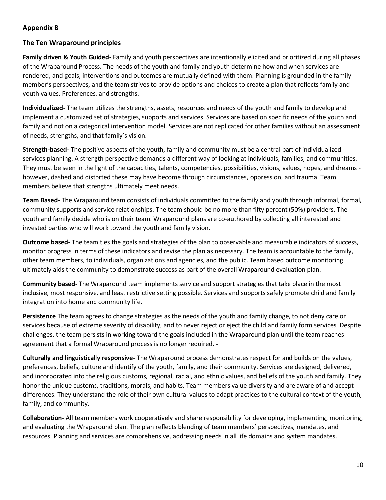# **Appendix B**

# **The Ten Wraparound principles**

**Family driven & Youth Guided-** Family and youth perspectives are intentionally elicited and prioritized during all phases of the Wraparound Process. The needs of the youth and family and youth determine how and when services are rendered, and goals, interventions and outcomes are mutually defined with them. Planning is grounded in the family member's perspectives, and the team strives to provide options and choices to create a plan that reflects family and youth values, Preferences, and strengths.

**Individualized-** The team utilizes the strengths, assets, resources and needs of the youth and family to develop and implement a customized set of strategies, supports and services. Services are based on specific needs of the youth and family and not on a categorical intervention model. Services are not replicated for other families without an assessment of needs, strengths, and that family's vision.

**Strength-based-** The positive aspects of the youth, family and community must be a central part of individualized services planning. A strength perspective demands a different way of looking at individuals, families, and communities. They must be seen in the light of the capacities, talents, competencies, possibilities, visions, values, hopes, and dreams however, dashed and distorted these may have become through circumstances, oppression, and trauma. Team members believe that strengths ultimately meet needs.

**Team Based-** The Wraparound team consists of individuals committed to the family and youth through informal, formal, community supports and service relationships. The team should be no more than fifty percent (50%) providers. The youth and family decide who is on their team. Wraparound plans are co-authored by collecting all interested and invested parties who will work toward the youth and family vision.

**Outcome based-** The team ties the goals and strategies of the plan to observable and measurable indicators of success, monitor progress in terms of these indicators and revise the plan as necessary. The team is accountable to the family, other team members, to individuals, organizations and agencies, and the public. Team based outcome monitoring ultimately aids the community to demonstrate success as part of the overall Wraparound evaluation plan.

**Community based-** The Wraparound team implements service and support strategies that take place in the most inclusive, most responsive, and least restrictive setting possible. Services and supports safely promote child and family integration into home and community life.

**Persistence** The team agrees to change strategies as the needs of the youth and family change, to not deny care or services because of extreme severity of disability, and to never reject or eject the child and family form services. Despite challenges, the team persists in working toward the goals included in the Wraparound plan until the team reaches agreement that a formal Wraparound process is no longer required. **-**

**Culturally and linguistically responsive-** The Wraparound process demonstrates respect for and builds on the values, preferences, beliefs, culture and identify of the youth, family, and their community. Services are designed, delivered, and incorporated into the religious customs, regional, racial, and ethnic values, and beliefs of the youth and family. They honor the unique customs, traditions, morals, and habits. Team members value diversity and are aware of and accept differences. They understand the role of their own cultural values to adapt practices to the cultural context of the youth, family, and community.

**Collaboration-** All team members work cooperatively and share responsibility for developing, implementing, monitoring, and evaluating the Wraparound plan. The plan reflects blending of team members' perspectives, mandates, and resources. Planning and services are comprehensive, addressing needs in all life domains and system mandates.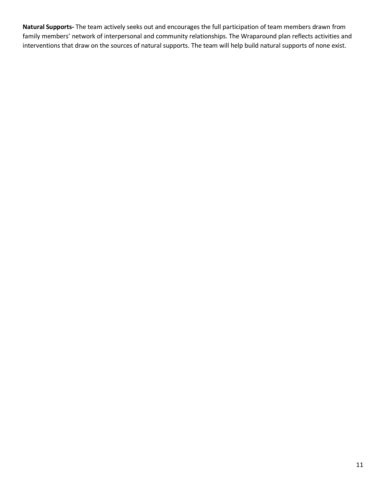**Natural Supports-** The team actively seeks out and encourages the full participation of team members drawn from family members' network of interpersonal and community relationships. The Wraparound plan reflects activities and interventions that draw on the sources of natural supports. The team will help build natural supports of none exist.